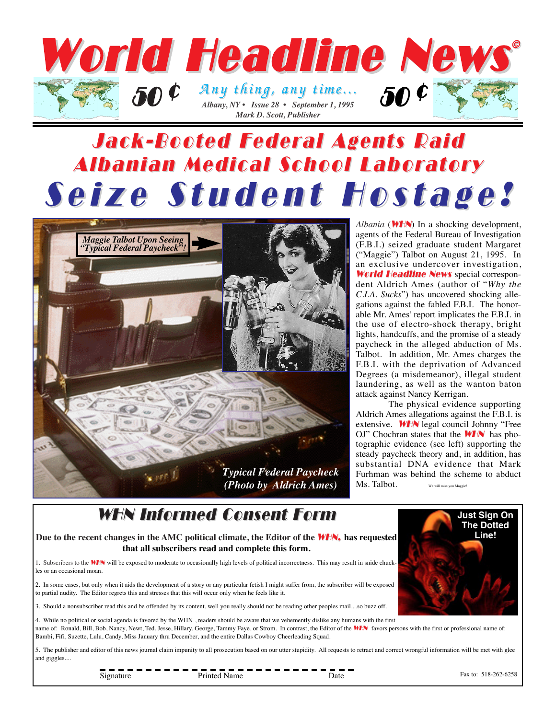

# Jack-Booted Federal Agents Raid Jack-Booted Federal Agents Raid Albanian Medical School Laboratory Albanian Medical School Laboratory Seize Student Hostage!



*Albania* (*WHN*) In a shocking development, agents of the Federal Bureau of Investigation (F.B.I.) seized graduate student Margaret ("Maggie") Talbot on August 21, 1995. In an exclusive undercover investigation, World Headline News special correspondent Aldrich Ames (author of "*Why the C.I.A. Sucks*") has uncovered shocking allegations against the fabled F.B.I. The honorable Mr. Ames' report implicates the F.B.I. in the use of electro-shock therapy, bright lights, handcuffs, and the promise of a steady paycheck in the alleged abduction of Ms. Talbot. In addition, Mr. Ames charges the F.B.I. with the deprivation of Advanced Degrees (a misdemeanor), illegal student laundering, as well as the wanton baton attack against Nancy Kerrigan.

The physical evidence supporting Aldrich Ames allegations against the F.B.I. is extensive. **WHN** legal council Johnny "Free OJ" Chochran states that the  $WHN$  has photographic evidence (see left) supporting the steady paycheck theory and, in addition, has substantial DNA evidence that Mark Furhman was behind the scheme to abduct Ms. Talbot. We will miss you Maggie

### WHN Informed Consent Form

**Due to the recent changes in the AMC political climate, the Editor of the** WHN, **has requested that all subscribers read and complete this form.** 

1. Subscribers to the **WH**N will be exposed to moderate to occasionally high levels of political incorrectness. This may result in snide chuckles or an occasional moan.

2. In some cases, but only when it aids the development of a story or any particular fetish I might suffer from, the subscriber will be exposed to partial nudity. The Editor regrets this and stresses that this will occur only when he feels like it.

3. Should a nonsubscriber read this and be offended by its content, well you really should not be reading other peoples mail....so buzz off.

4. While no political or social agenda is favored by the WHN , readers should be aware that we vehemently dislike any humans with the first name of: Ronald, Bill, Bob, Nancy, Newt, Ted, Jesse, Hillary, George, Tammy Faye, or Strom. In contrast, the Editor of the WHN favors persons with the first or professional name of: Bambi, Fifi, Suzette, Lulu, Candy, Miss January thru December, and the entire Dallas Cowboy Cheerleading Squad.

5. The publisher and editor of this news journal claim impunity to all prosecution based on our utter stupidity. All requests to retract and correct wrongful information will be met with glee and giggles....

Signature Printed Name Date

Fax to: 518-262-6258

**Just Sign On The Dotted Line!**